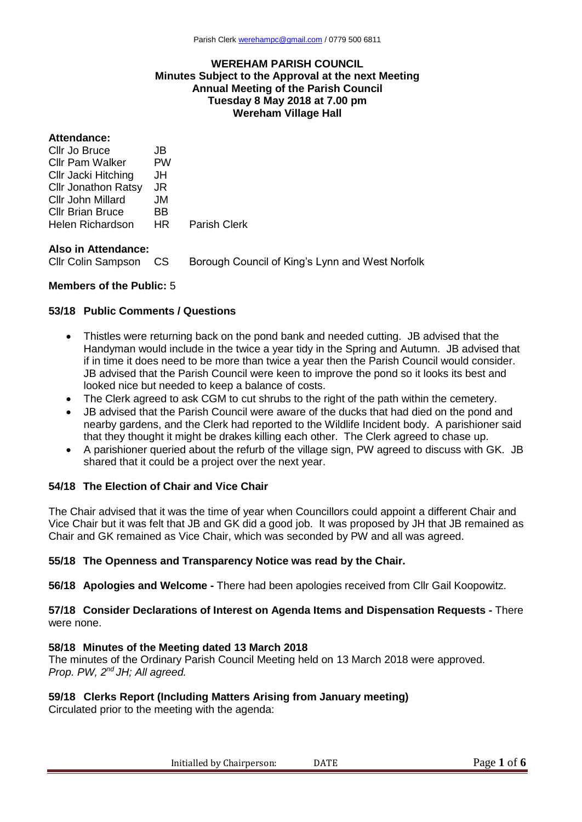### **WEREHAM PARISH COUNCIL Minutes Subject to the Approval at the next Meeting Annual Meeting of the Parish Council Tuesday 8 May 2018 at 7.00 pm Wereham Village Hall**

#### **Attendance:**

| JB. |                     |
|-----|---------------------|
| PW  |                     |
| JH  |                     |
| JR  |                     |
| JM  |                     |
| BB  |                     |
| HR  | <b>Parish Clerk</b> |
|     |                     |

### **Also in Attendance:**

Cllr Colin Sampson CS Borough Council of King's Lynn and West Norfolk

### **Members of the Public:** 5

#### **53/18 Public Comments / Questions**

- Thistles were returning back on the pond bank and needed cutting. JB advised that the Handyman would include in the twice a year tidy in the Spring and Autumn. JB advised that if in time it does need to be more than twice a year then the Parish Council would consider. JB advised that the Parish Council were keen to improve the pond so it looks its best and looked nice but needed to keep a balance of costs.
- The Clerk agreed to ask CGM to cut shrubs to the right of the path within the cemetery.
- JB advised that the Parish Council were aware of the ducks that had died on the pond and nearby gardens, and the Clerk had reported to the Wildlife Incident body. A parishioner said that they thought it might be drakes killing each other. The Clerk agreed to chase up.
- A parishioner queried about the refurb of the village sign, PW agreed to discuss with GK. JB shared that it could be a project over the next year.

#### **54/18 The Election of Chair and Vice Chair**

The Chair advised that it was the time of year when Councillors could appoint a different Chair and Vice Chair but it was felt that JB and GK did a good job. It was proposed by JH that JB remained as Chair and GK remained as Vice Chair, which was seconded by PW and all was agreed.

# **55/18 The Openness and Transparency Notice was read by the Chair.**

**56/18 Apologies and Welcome -** There had been apologies received from Cllr Gail Koopowitz.

### **57/18 Consider Declarations of Interest on Agenda Items and Dispensation Requests -** There were none.

#### **58/18 Minutes of the Meeting dated 13 March 2018**

The minutes of the Ordinary Parish Council Meeting held on 13 March 2018 were approved. *Prop. PW, 2nd JH; All agreed.*

# **59/18 Clerks Report (Including Matters Arising from January meeting)**

Circulated prior to the meeting with the agenda: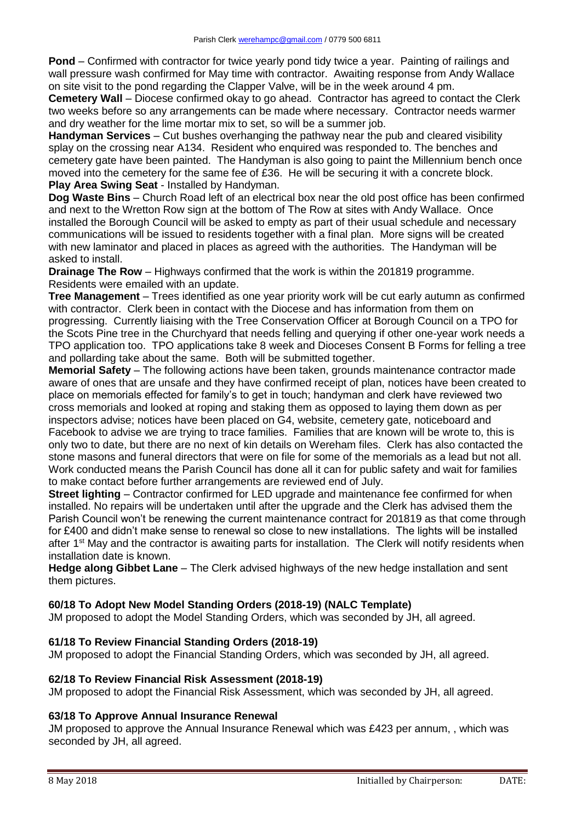**Pond** – Confirmed with contractor for twice yearly pond tidy twice a year. Painting of railings and wall pressure wash confirmed for May time with contractor. Awaiting response from Andy Wallace on site visit to the pond regarding the Clapper Valve, will be in the week around 4 pm.

**Cemetery Wall** – Diocese confirmed okay to go ahead. Contractor has agreed to contact the Clerk two weeks before so any arrangements can be made where necessary. Contractor needs warmer and dry weather for the lime mortar mix to set, so will be a summer job.

**Handyman Services** – Cut bushes overhanging the pathway near the pub and cleared visibility splay on the crossing near A134. Resident who enquired was responded to. The benches and cemetery gate have been painted. The Handyman is also going to paint the Millennium bench once moved into the cemetery for the same fee of £36. He will be securing it with a concrete block. **Play Area Swing Seat** - Installed by Handyman.

**Dog Waste Bins** – Church Road left of an electrical box near the old post office has been confirmed and next to the Wretton Row sign at the bottom of The Row at sites with Andy Wallace. Once installed the Borough Council will be asked to empty as part of their usual schedule and necessary communications will be issued to residents together with a final plan. More signs will be created with new laminator and placed in places as agreed with the authorities. The Handyman will be asked to install.

**Drainage The Row** – Highways confirmed that the work is within the 201819 programme. Residents were emailed with an update.

**Tree Management** – Trees identified as one year priority work will be cut early autumn as confirmed with contractor. Clerk been in contact with the Diocese and has information from them on progressing. Currently liaising with the Tree Conservation Officer at Borough Council on a TPO for the Scots Pine tree in the Churchyard that needs felling and querying if other one-year work needs a TPO application too. TPO applications take 8 week and Dioceses Consent B Forms for felling a tree and pollarding take about the same. Both will be submitted together.

**Memorial Safety** – The following actions have been taken, grounds maintenance contractor made aware of ones that are unsafe and they have confirmed receipt of plan, notices have been created to place on memorials effected for family's to get in touch; handyman and clerk have reviewed two cross memorials and looked at roping and staking them as opposed to laying them down as per inspectors advise; notices have been placed on G4, website, cemetery gate, noticeboard and Facebook to advise we are trying to trace families. Families that are known will be wrote to, this is only two to date, but there are no next of kin details on Wereham files. Clerk has also contacted the stone masons and funeral directors that were on file for some of the memorials as a lead but not all. Work conducted means the Parish Council has done all it can for public safety and wait for families to make contact before further arrangements are reviewed end of July.

**Street lighting** – Contractor confirmed for LED upgrade and maintenance fee confirmed for when installed. No repairs will be undertaken until after the upgrade and the Clerk has advised them the Parish Council won't be renewing the current maintenance contract for 201819 as that come through for £400 and didn't make sense to renewal so close to new installations. The lights will be installed after 1<sup>st</sup> May and the contractor is awaiting parts for installation. The Clerk will notify residents when installation date is known.

**Hedge along Gibbet Lane** – The Clerk advised highways of the new hedge installation and sent them pictures.

# **60/18 To Adopt New Model Standing Orders (2018-19) (NALC Template)**

JM proposed to adopt the Model Standing Orders, which was seconded by JH, all agreed.

# **61/18 To Review Financial Standing Orders (2018-19)**

JM proposed to adopt the Financial Standing Orders, which was seconded by JH, all agreed.

# **62/18 To Review Financial Risk Assessment (2018-19)**

JM proposed to adopt the Financial Risk Assessment, which was seconded by JH, all agreed.

# **63/18 To Approve Annual Insurance Renewal**

JM proposed to approve the Annual Insurance Renewal which was £423 per annum, , which was seconded by JH, all agreed.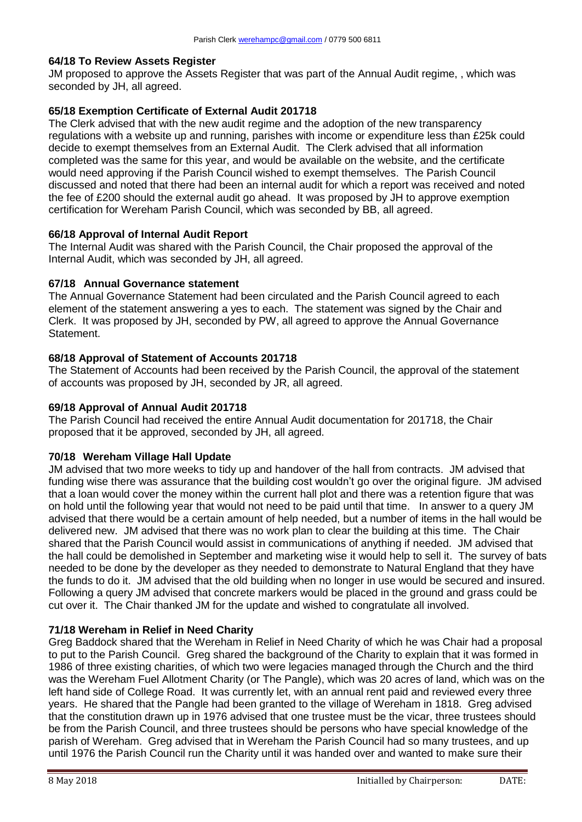### **64/18 To Review Assets Register**

JM proposed to approve the Assets Register that was part of the Annual Audit regime, , which was seconded by JH, all agreed.

# **65/18 Exemption Certificate of External Audit 201718**

The Clerk advised that with the new audit regime and the adoption of the new transparency regulations with a website up and running, parishes with income or expenditure less than £25k could decide to exempt themselves from an External Audit. The Clerk advised that all information completed was the same for this year, and would be available on the website, and the certificate would need approving if the Parish Council wished to exempt themselves. The Parish Council discussed and noted that there had been an internal audit for which a report was received and noted the fee of £200 should the external audit go ahead. It was proposed by JH to approve exemption certification for Wereham Parish Council, which was seconded by BB, all agreed.

# **66/18 Approval of Internal Audit Report**

The Internal Audit was shared with the Parish Council, the Chair proposed the approval of the Internal Audit, which was seconded by JH, all agreed.

### **67/18 Annual Governance statement**

The Annual Governance Statement had been circulated and the Parish Council agreed to each element of the statement answering a yes to each. The statement was signed by the Chair and Clerk. It was proposed by JH, seconded by PW, all agreed to approve the Annual Governance Statement.

# **68/18 Approval of Statement of Accounts 201718**

The Statement of Accounts had been received by the Parish Council, the approval of the statement of accounts was proposed by JH, seconded by JR, all agreed.

### **69/18 Approval of Annual Audit 201718**

The Parish Council had received the entire Annual Audit documentation for 201718, the Chair proposed that it be approved, seconded by JH, all agreed.

# **70/18 Wereham Village Hall Update**

JM advised that two more weeks to tidy up and handover of the hall from contracts. JM advised that funding wise there was assurance that the building cost wouldn't go over the original figure. JM advised that a loan would cover the money within the current hall plot and there was a retention figure that was on hold until the following year that would not need to be paid until that time. In answer to a query JM advised that there would be a certain amount of help needed, but a number of items in the hall would be delivered new. JM advised that there was no work plan to clear the building at this time. The Chair shared that the Parish Council would assist in communications of anything if needed. JM advised that the hall could be demolished in September and marketing wise it would help to sell it. The survey of bats needed to be done by the developer as they needed to demonstrate to Natural England that they have the funds to do it. JM advised that the old building when no longer in use would be secured and insured. Following a query JM advised that concrete markers would be placed in the ground and grass could be cut over it. The Chair thanked JM for the update and wished to congratulate all involved.

# **71/18 Wereham in Relief in Need Charity**

Greg Baddock shared that the Wereham in Relief in Need Charity of which he was Chair had a proposal to put to the Parish Council. Greg shared the background of the Charity to explain that it was formed in 1986 of three existing charities, of which two were legacies managed through the Church and the third was the Wereham Fuel Allotment Charity (or The Pangle), which was 20 acres of land, which was on the left hand side of College Road. It was currently let, with an annual rent paid and reviewed every three years. He shared that the Pangle had been granted to the village of Wereham in 1818. Greg advised that the constitution drawn up in 1976 advised that one trustee must be the vicar, three trustees should be from the Parish Council, and three trustees should be persons who have special knowledge of the parish of Wereham. Greg advised that in Wereham the Parish Council had so many trustees, and up until 1976 the Parish Council run the Charity until it was handed over and wanted to make sure their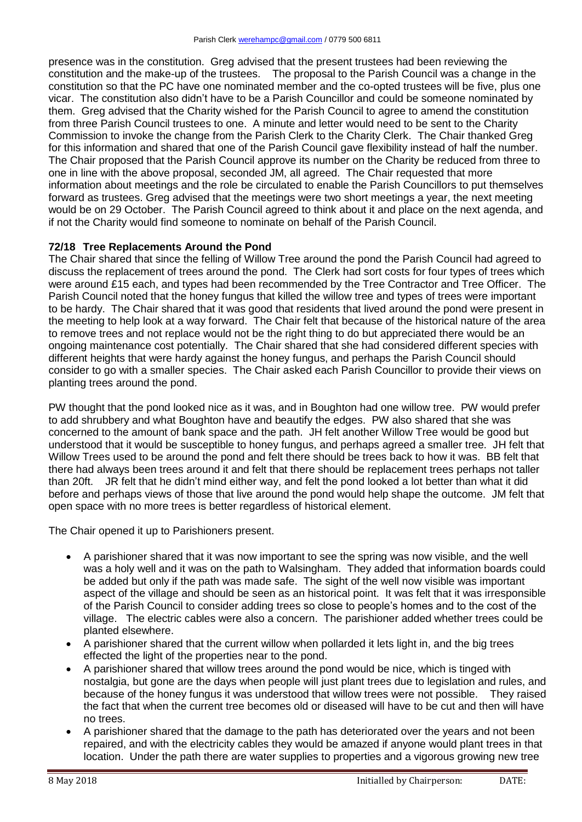presence was in the constitution. Greg advised that the present trustees had been reviewing the constitution and the make-up of the trustees. The proposal to the Parish Council was a change in the constitution so that the PC have one nominated member and the co-opted trustees will be five, plus one vicar. The constitution also didn't have to be a Parish Councillor and could be someone nominated by them. Greg advised that the Charity wished for the Parish Council to agree to amend the constitution from three Parish Council trustees to one. A minute and letter would need to be sent to the Charity Commission to invoke the change from the Parish Clerk to the Charity Clerk. The Chair thanked Greg for this information and shared that one of the Parish Council gave flexibility instead of half the number. The Chair proposed that the Parish Council approve its number on the Charity be reduced from three to one in line with the above proposal, seconded JM, all agreed. The Chair requested that more information about meetings and the role be circulated to enable the Parish Councillors to put themselves forward as trustees. Greg advised that the meetings were two short meetings a year, the next meeting would be on 29 October. The Parish Council agreed to think about it and place on the next agenda, and if not the Charity would find someone to nominate on behalf of the Parish Council.

# **72/18 Tree Replacements Around the Pond**

The Chair shared that since the felling of Willow Tree around the pond the Parish Council had agreed to discuss the replacement of trees around the pond. The Clerk had sort costs for four types of trees which were around £15 each, and types had been recommended by the Tree Contractor and Tree Officer. The Parish Council noted that the honey fungus that killed the willow tree and types of trees were important to be hardy. The Chair shared that it was good that residents that lived around the pond were present in the meeting to help look at a way forward. The Chair felt that because of the historical nature of the area to remove trees and not replace would not be the right thing to do but appreciated there would be an ongoing maintenance cost potentially. The Chair shared that she had considered different species with different heights that were hardy against the honey fungus, and perhaps the Parish Council should consider to go with a smaller species. The Chair asked each Parish Councillor to provide their views on planting trees around the pond.

PW thought that the pond looked nice as it was, and in Boughton had one willow tree. PW would prefer to add shrubbery and what Boughton have and beautify the edges. PW also shared that she was concerned to the amount of bank space and the path. JH felt another Willow Tree would be good but understood that it would be susceptible to honey fungus, and perhaps agreed a smaller tree. JH felt that Willow Trees used to be around the pond and felt there should be trees back to how it was. BB felt that there had always been trees around it and felt that there should be replacement trees perhaps not taller than 20ft. JR felt that he didn't mind either way, and felt the pond looked a lot better than what it did before and perhaps views of those that live around the pond would help shape the outcome. JM felt that open space with no more trees is better regardless of historical element.

The Chair opened it up to Parishioners present.

- A parishioner shared that it was now important to see the spring was now visible, and the well was a holy well and it was on the path to Walsingham. They added that information boards could be added but only if the path was made safe. The sight of the well now visible was important aspect of the village and should be seen as an historical point. It was felt that it was irresponsible of the Parish Council to consider adding trees so close to people's homes and to the cost of the village. The electric cables were also a concern. The parishioner added whether trees could be planted elsewhere.
- A parishioner shared that the current willow when pollarded it lets light in, and the big trees effected the light of the properties near to the pond.
- A parishioner shared that willow trees around the pond would be nice, which is tinged with nostalgia, but gone are the days when people will just plant trees due to legislation and rules, and because of the honey fungus it was understood that willow trees were not possible. They raised the fact that when the current tree becomes old or diseased will have to be cut and then will have no trees.
- A parishioner shared that the damage to the path has deteriorated over the years and not been repaired, and with the electricity cables they would be amazed if anyone would plant trees in that location. Under the path there are water supplies to properties and a vigorous growing new tree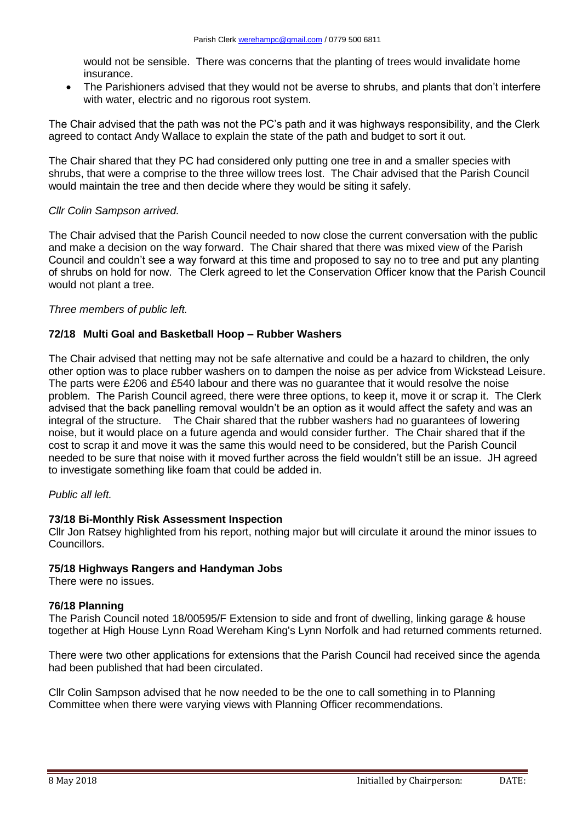would not be sensible. There was concerns that the planting of trees would invalidate home insurance.

 The Parishioners advised that they would not be averse to shrubs, and plants that don't interfere with water, electric and no rigorous root system.

The Chair advised that the path was not the PC's path and it was highways responsibility, and the Clerk agreed to contact Andy Wallace to explain the state of the path and budget to sort it out.

The Chair shared that they PC had considered only putting one tree in and a smaller species with shrubs, that were a comprise to the three willow trees lost. The Chair advised that the Parish Council would maintain the tree and then decide where they would be siting it safely.

### *Cllr Colin Sampson arrived.*

The Chair advised that the Parish Council needed to now close the current conversation with the public and make a decision on the way forward. The Chair shared that there was mixed view of the Parish Council and couldn't see a way forward at this time and proposed to say no to tree and put any planting of shrubs on hold for now. The Clerk agreed to let the Conservation Officer know that the Parish Council would not plant a tree.

### *Three members of public left.*

### **72/18 Multi Goal and Basketball Hoop – Rubber Washers**

The Chair advised that netting may not be safe alternative and could be a hazard to children, the only other option was to place rubber washers on to dampen the noise as per advice from Wickstead Leisure. The parts were £206 and £540 labour and there was no guarantee that it would resolve the noise problem. The Parish Council agreed, there were three options, to keep it, move it or scrap it. The Clerk advised that the back panelling removal wouldn't be an option as it would affect the safety and was an integral of the structure. The Chair shared that the rubber washers had no guarantees of lowering noise, but it would place on a future agenda and would consider further. The Chair shared that if the cost to scrap it and move it was the same this would need to be considered, but the Parish Council needed to be sure that noise with it moved further across the field wouldn't still be an issue. JH agreed to investigate something like foam that could be added in.

#### *Public all left.*

#### **73/18 Bi-Monthly Risk Assessment Inspection**

Cllr Jon Ratsey highlighted from his report, nothing major but will circulate it around the minor issues to Councillors.

#### **75/18 Highways Rangers and Handyman Jobs**

There were no issues.

#### **76/18 Planning**

The Parish Council noted 18/00595/F Extension to side and front of dwelling, linking garage & house together at High House Lynn Road Wereham King's Lynn Norfolk and had returned comments returned.

There were two other applications for extensions that the Parish Council had received since the agenda had been published that had been circulated.

Cllr Colin Sampson advised that he now needed to be the one to call something in to Planning Committee when there were varying views with Planning Officer recommendations.